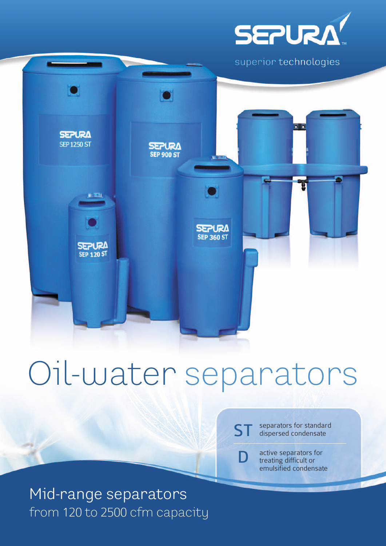

superior technologies



# Oil-water separators

separators for standard dispersed condensate ST

> active separators for treating difficult or emulsified condensate

D

Mid-range separators from 120 to 2500 cfm capacity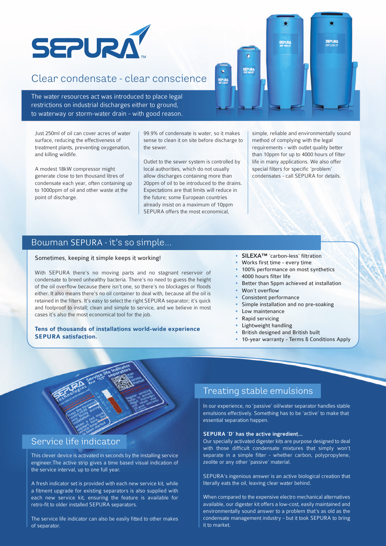

## Clear condensate - clear conscience

The water resources act was introduced to place legal restrictions on industrial discharges either to ground, to waterway or storm-water drain - with good reason.

Just 250ml of oil can cover acres of water surface, reducing the effectiveness of treatment plants, preventing oxygenation, and killing wildlife.

A modest 18kW compressor might generate close to ten thousand litres of condensate each year, often containing up to 1000ppm of oil and other waste at the point of discharge.

99.9% of condensate is water, so it makes sense to clean it on site before discharge to the sewer.

Outlet to the sewer system is controlled by local authorities, which do not usually allow discharges containing more than 20ppm of oil to be introduced to the drains. Expectations are that limits will reduce in the future; some European countries already insist on a maximum of 10ppm SEPURA offers the most economical

simple, reliable and environmentally sound method of complying with the legal requirements - with outlet quality better than 10ppm for up to 4000 hours of filter life in many applications. We also offer special filters for specific 'problem' condensates - call SEPURA for details.

#### Bowman SEPURA - it's so simple...

#### Sometimes, keeping it simple keeps it working!

With SEPURA there's no moving parts and no stagnant reservoir of condensate to breed unhealthy bacteria. There's no need to guess the height of the oil overflow because there isn't one, so there's no blockages or floods either. It also means there's no oil container to deal with, because all the oil is retained in the filters. It's easy to select the right SEPURA separator; it's quick and foolproof to install; clean and simple to service, and we believe in most cases it's also the most economical tool for the job.

#### **Tens of thousands of installations world-wide experience SEPURA satisfaction.**

- **SILEXA™** 'carbon-less' filtration
- Works first time every time
- 100% performance on most synthetics
- 4000 hours filter life
- Better than 5ppm achieved at installation
- Won't overflow
- Consistent performance
- Simple installation and no pre-soaking
- Low maintenance
- Rapid servicing
- Lightweight handling
- British designed and British built
- 10-year warranty Terms & Conditions Apply



### Service life indicator

This clever device is activated in seconds by the installing service engineer.The active strip gives a time based visual indication of the service interval, up to one full year.

A fresh indicator set is provided with each new service kit, while a fitment upgrade for existing separators is also supplied with each new service kit, ensuring the feature is available for retro-fit to older installed SEPURA separators.

The service life indicator can also be easily fitted to other makes of separator.

## Treating stable emulsions

In our experience, no 'passive' oil/water separator handles stable emulsions effectively. Something has to be 'active' to make that essential separation happen.

#### SEPURA 'D' has the active ingredient...

Our specially activated digester kits are purpose designed to deal with those difficult condensate mixtures that simply won't separate in a simple filter - whether carbon, polypropylene, zeolite or any other 'passive' material.

SEPURA's ingenious answer is an active biological creation that literally eats the oil, leaving clear water behind.

When compared to the expensive electro mechanical alternatives available, our digester kit offers a low-cost, easily maintained and environmentally sound answer to a problem that's as old as the condensate management industry - but it took SEPURA to bring it to market.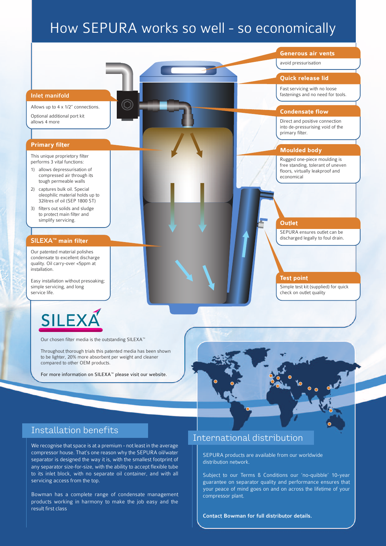# How SEPURA works so well - so economically



Contact Bowman for full distributor details.